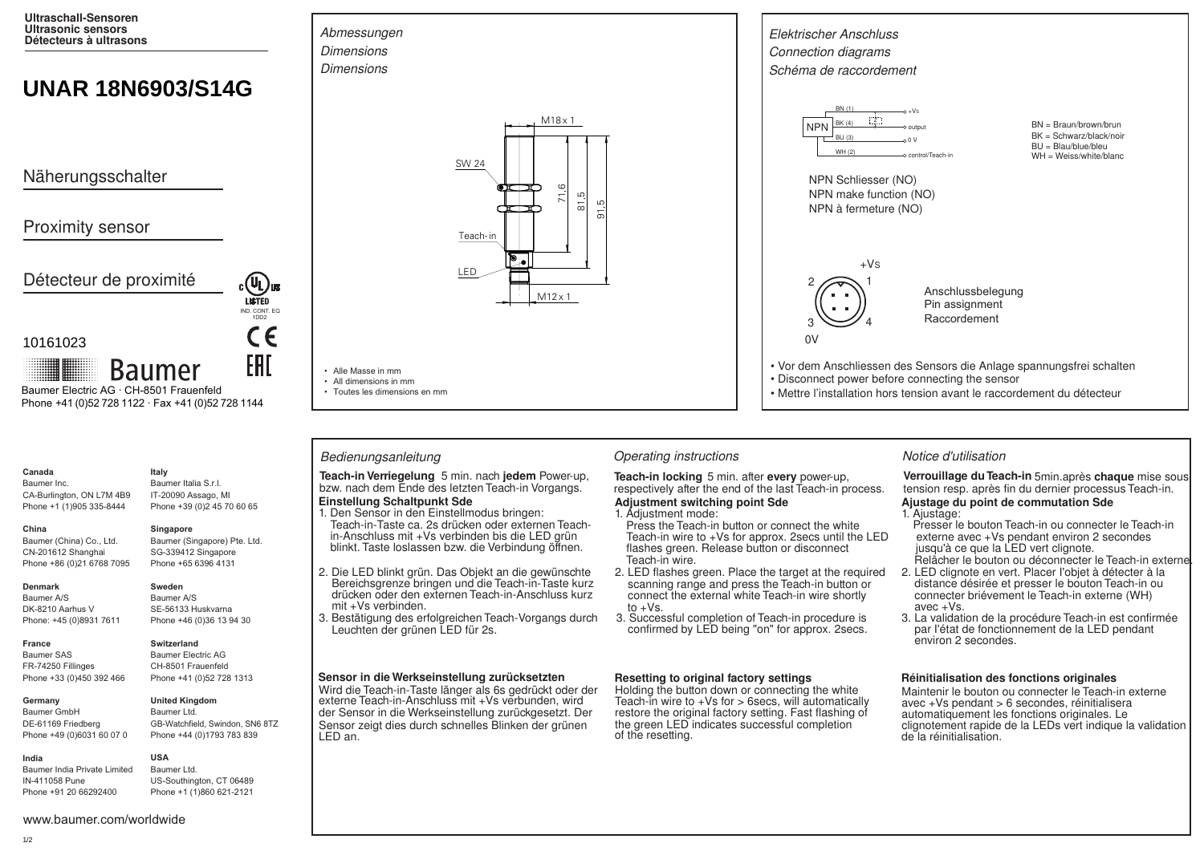**Ultraschall-Sensoren Ultrasonic sensors Détecteurs à ultrasons**

# **UNAR 18N6903/S14G**

Näherungsschalter

# Proximity sensor

Détecteur de proximité

### 10161023

**Baumer** Baumer Electric AG · CH-8501 Frauenfeld Phone +41 (0)52 728 1122 · Fax +41 (0)52 728 1144

# **Canada**

Baumer Inc. CA-Burlington, ON L7M 4B9 Phone +1 (1)905 335-8444

SG-339412 Singapore

#### **Denmark**

**France**

**China** 

Baumer A/S DK-8210 Aarhus V Phone: +45 (0)8931 7611

Baumer (China) Co., Ltd. CN-201612 Shanghai Phone +86 (0)21 6768 7095

Baumer SAS FR-74250 Fillinges Phone +33 (0)450 392 466

### **Germany**

Baumer GmbH DE-61169 Friedberg Phone +49 (0)6031 60 07 0

Baumer India Private Limited IN-411058 Pune Phone +91 20 66292400

# **Italy** Baumer Italia S.r.l.

IT-20090 Assago, MI Phone +39 (0)2 45 70 60 65

### **Singapore**

Baumer (Singapore) Pte. Ltd. Phone +65 6396 4131

IND. CONT. EQ. 1DD2

CE

EAI

**LISTED** 

Baumer A/S SE-56133 Huskvarna Phone +46 (0)36 13 94 30

## **Switzerland**

**Sweden**

Baumer Electric AG CH-8501 Frauenfeld Phone +41 (0)52 728 1313



#### **United Kingdom** Baumer Ltd.

GB-Watchfield, Swindon, SN6 8TZ Phone +44 (0)1793 783 839

#### **USA** Baumer Ltd.

US-Southington, CT 06489 Phone +1 (1)860 621-2121





• Alle Masse in mm • All dimensions in mm • Toutes les dimensions en mm

**Einstellung Schaltpunkt Sde Teach-in Verriegelung** 5 min. nach **jedem** Power-up, **Teach-in locking** 5 min. after every power-up, bzw. nach dem Ende des letzten Teach-in Vorgangs. respectively after the end of the last Teach-in provided to the last T

- Teach-in-Taste ca. 2s drücken oder externen Teachin-Anschluss mit +Vs verbinden bis die LED grün 1. Den Sensor in den Einstellmodus bringen: blinkt. Taste loslassen bzw. die Verbindung öffnen.
- 2. Die LED blinkt grün. Das Objekt an die gewünschte Bereichsgrenze bringen und die Teach-in-Taste kurz drücken oder den externen Teach-in-Anschluss kurz mit +Vs verbinden.
- 3. Bestätigung des erfolgreichen Teach-Vorgangs durch Leuchten der grünen LED für 2s.

#### **Sensor in die Werkseinstellung zurücksetzten**

Wird die Teach-in-Taste länger als 6s gedrückt oder der externe Teach-in-Anschluss mit +Vs verbunden, wird der Sensor in die Werkseinstellung zurückgesetzt. Der Sensor zeigt dies durch schnelles Blinken der grünen LED an.



### Bedienungsanleitung **Christian Contractions** Operating instructions **Notice d'utilisation** Notice d'utilisation

respectively after the end of the last Teach-in process. **Adjustment switching point Sde**

# 1. Adjustment mode:

- Press the Teach-in button or connect the white Teach-in wire to +Vs for approx. 2secs until the LED flashes green. Release button or disconnect Teach-in wire.
- 2. LED flashes green. Place the target at the required scanning range and press the Teach-in button or connect the external white Teach-in wire shortly to  $+Vs$ .
- 3. Successful completion of Teach-in procedure is confirmed by LED being "on" for approx. 2secs.

### **Resetting to original factory settings**

Holding the button down or connecting the white Teach-in wire to  $+Vs$  for  $>$  6secs, will automatically restore the original factory setting. Fast flashing of the green LED indicates successful completion of the resetting.

Verrouillage du Teach-in 5min.après chaque mise sous tension resp. après fin du dernier processus Teach-in.

## **Ajustage du point de commutation Sde**

- Presser le bouton Teach-in ou connecter le Teach-in externe avec +Vs pendant environ 2 secondes 1. Ajustage:
- jusqu'à ce que la LED vert clignote. Relâcher le bouton ou déconnecter le Teach-in externe.
- 2. LED clignote en vert. Placer I'objet à détecter à la distance désirée et presser le bouton Teach-in ou connecter briévement le Teach-in externe (WH) avec +Vs.
- 3. La validation de la procédure Teach-in est confirmée par I'état de fonctionnement de la LED pendant environ 2 secondes.

### **Réinitialisation des fonctions originales**

Maintenir le bouton ou connecter le Teach-in externe avec +Vs pendant > 6 secondes, réinitialisera automatiquement les fonctions originales. Le clignotement rapide de la LEDs vert indique la validation de la réinitialisation.

**India**